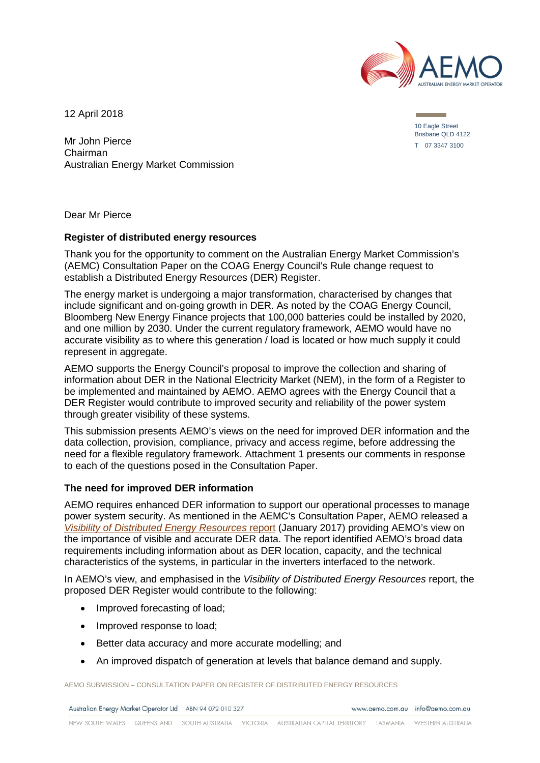

12 April 2018

Mr John Pierce Chairman Australian Energy Market Commission 10 Eagle Street Brisbane QLD 4122 T 07 3347 3100

Dear Mr Pierce

#### **Register of distributed energy resources**

Thank you for the opportunity to comment on the Australian Energy Market Commission's (AEMC) Consultation Paper on the COAG Energy Council's Rule change request to establish a Distributed Energy Resources (DER) Register.

The energy market is undergoing a major transformation, characterised by changes that include significant and on-going growth in DER. As noted by the COAG Energy Council, Bloomberg New Energy Finance projects that 100,000 batteries could be installed by 2020, and one million by 2030. Under the current regulatory framework, AEMO would have no accurate visibility as to where this generation / load is located or how much supply it could represent in aggregate.

AEMO supports the Energy Council's proposal to improve the collection and sharing of information about DER in the National Electricity Market (NEM), in the form of a Register to be implemented and maintained by AEMO. AEMO agrees with the Energy Council that a DER Register would contribute to improved security and reliability of the power system through greater visibility of these systems.

This submission presents AEMO's views on the need for improved DER information and the data collection, provision, compliance, privacy and access regime, before addressing the need for a flexible regulatory framework. Attachment 1 presents our comments in response to each of the questions posed in the Consultation Paper.

#### **The need for improved DER information**

AEMO requires enhanced DER information to support our operational processes to manage power system security. As mentioned in the AEMC's Consultation Paper, AEMO released a *[Visibility of Distributed Energy Resources](https://www.aemo.com.au/-/media/Files/Electricity/NEM/Security_and_Reliability/Reports/2016/AEMO-FPSS-program----Visibility-of-DER.pdf)* report (January 2017) providing AEMO's view on the importance of visible and accurate DER data. The report identified AEMO's broad data requirements including information about as DER location, capacity, and the technical characteristics of the systems, in particular in the inverters interfaced to the network.

In AEMO's view, and emphasised in the *Visibility of Distributed Energy Resources* report, the proposed DER Register would contribute to the following:

- Improved forecasting of load;
- Improved response to load;
- Better data accuracy and more accurate modelling; and
- An improved dispatch of generation at levels that balance demand and supply.

AEMO SUBMISSION – CONSULTATION PAPER ON REGISTER OF DISTRIBUTED ENERGY RESOURCES

Australian Energy Market Operator Ltd ABN 94 072 010 327

www.gemo.com.gu info@gemo.com.gu

NEW SOUTH WALES QUEENSLAND SOUTH AUSTRALIA VICTORIA AUSTRALIAN CAPITAL TERRITORY TASMANIA WESTERN ALISTRALIA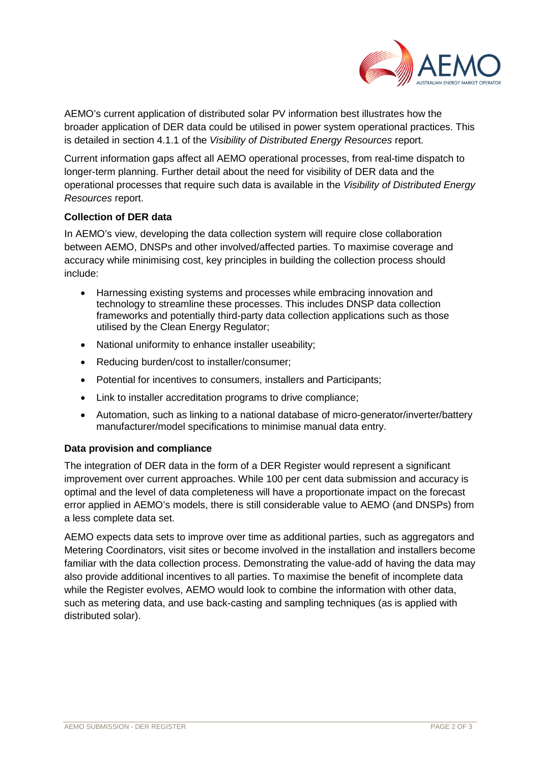

AEMO's current application of distributed solar PV information best illustrates how the broader application of DER data could be utilised in power system operational practices. This is detailed in section 4.1.1 of the *Visibility of Distributed Energy Resources* report.

Current information gaps affect all AEMO operational processes, from real-time dispatch to longer-term planning. Further detail about the need for visibility of DER data and the operational processes that require such data is available in the *Visibility of Distributed Energy Resources* report.

## **Collection of DER data**

In AEMO's view, developing the data collection system will require close collaboration between AEMO, DNSPs and other involved/affected parties. To maximise coverage and accuracy while minimising cost, key principles in building the collection process should include:

- Harnessing existing systems and processes while embracing innovation and technology to streamline these processes. This includes DNSP data collection frameworks and potentially third-party data collection applications such as those utilised by the Clean Energy Regulator;
- National uniformity to enhance installer useability;
- Reducing burden/cost to installer/consumer;
- Potential for incentives to consumers, installers and Participants;
- Link to installer accreditation programs to drive compliance;
- Automation, such as linking to a national database of micro-generator/inverter/battery manufacturer/model specifications to minimise manual data entry.

## **Data provision and compliance**

The integration of DER data in the form of a DER Register would represent a significant improvement over current approaches. While 100 per cent data submission and accuracy is optimal and the level of data completeness will have a proportionate impact on the forecast error applied in AEMO's models, there is still considerable value to AEMO (and DNSPs) from a less complete data set.

AEMO expects data sets to improve over time as additional parties, such as aggregators and Metering Coordinators, visit sites or become involved in the installation and installers become familiar with the data collection process. Demonstrating the value-add of having the data may also provide additional incentives to all parties. To maximise the benefit of incomplete data while the Register evolves, AEMO would look to combine the information with other data, such as metering data, and use back-casting and sampling techniques (as is applied with distributed solar).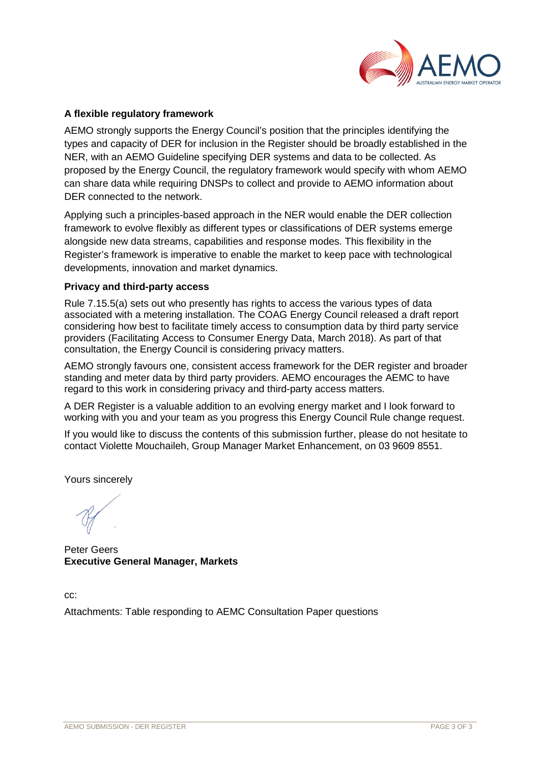

### **A flexible regulatory framework**

AEMO strongly supports the Energy Council's position that the principles identifying the types and capacity of DER for inclusion in the Register should be broadly established in the NER, with an AEMO Guideline specifying DER systems and data to be collected. As proposed by the Energy Council, the regulatory framework would specify with whom AEMO can share data while requiring DNSPs to collect and provide to AEMO information about DER connected to the network.

Applying such a principles-based approach in the NER would enable the DER collection framework to evolve flexibly as different types or classifications of DER systems emerge alongside new data streams, capabilities and response modes. This flexibility in the Register's framework is imperative to enable the market to keep pace with technological developments, innovation and market dynamics.

#### **Privacy and third-party access**

Rule 7.15.5(a) sets out who presently has rights to access the various types of data associated with a metering installation. The COAG Energy Council released a draft report considering how best to facilitate timely access to consumption data by third party service providers (Facilitating Access to Consumer Energy Data, March 2018). As part of that consultation, the Energy Council is considering privacy matters.

AEMO strongly favours one, consistent access framework for the DER register and broader standing and meter data by third party providers. AEMO encourages the AEMC to have regard to this work in considering privacy and third-party access matters.

A DER Register is a valuable addition to an evolving energy market and I look forward to working with you and your team as you progress this Energy Council Rule change request.

If you would like to discuss the contents of this submission further, please do not hesitate to contact Violette Mouchaileh, Group Manager Market Enhancement, on 03 9609 8551.

Yours sincerely

Peter Geers **Executive General Manager, Markets**

cc:

Attachments: Table responding to AEMC Consultation Paper questions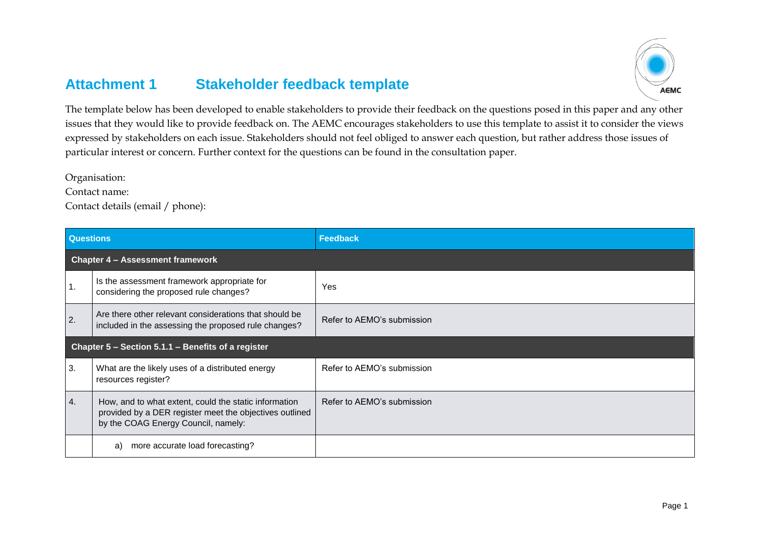# **Attachment 1 Stakeholder feedback template**



The template below has been developed to enable stakeholders to provide their feedback on the questions posed in this paper and any other issues that they would like to provide feedback on. The AEMC encourages stakeholders to use this template to assist it to consider the views expressed by stakeholders on each issue. Stakeholders should not feel obliged to answer each question, but rather address those issues of particular interest or concern. Further context for the questions can be found in the consultation paper.

Organisation:

Contact name:

Contact details (email / phone):

| <b>Questions</b>                                   |                                                                                                                                                         | Feedback                   |  |
|----------------------------------------------------|---------------------------------------------------------------------------------------------------------------------------------------------------------|----------------------------|--|
|                                                    | <b>Chapter 4 - Assessment framework</b>                                                                                                                 |                            |  |
| 1.                                                 | Is the assessment framework appropriate for<br>considering the proposed rule changes?                                                                   | Yes                        |  |
| 2.                                                 | Are there other relevant considerations that should be<br>included in the assessing the proposed rule changes?                                          | Refer to AEMO's submission |  |
| Chapter 5 - Section 5.1.1 - Benefits of a register |                                                                                                                                                         |                            |  |
| 3.                                                 | What are the likely uses of a distributed energy<br>resources register?                                                                                 | Refer to AEMO's submission |  |
| 4.                                                 | How, and to what extent, could the static information<br>provided by a DER register meet the objectives outlined<br>by the COAG Energy Council, namely: | Refer to AEMO's submission |  |
|                                                    | more accurate load forecasting?<br>a)                                                                                                                   |                            |  |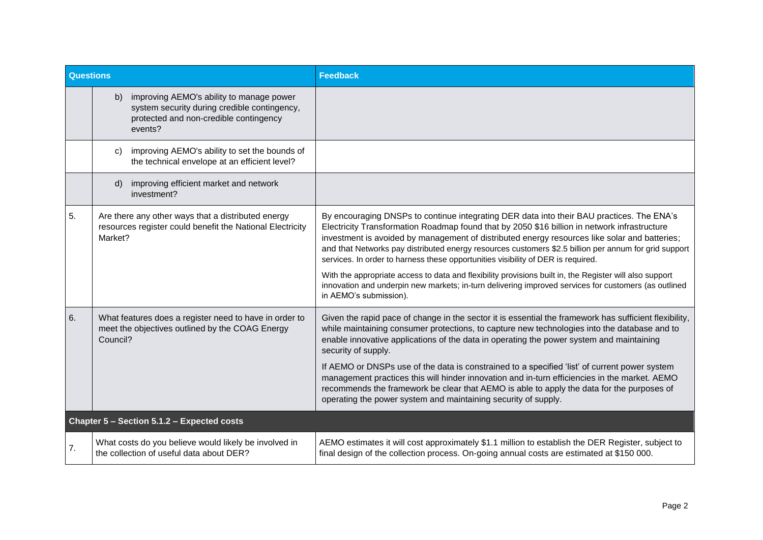| Questions |                                                                                                                                                     | <b>Feedback</b>                                                                                                                                                                                                                                                                                                                                                                                                                                                                                                                                                                                                                                                                                                                      |
|-----------|-----------------------------------------------------------------------------------------------------------------------------------------------------|--------------------------------------------------------------------------------------------------------------------------------------------------------------------------------------------------------------------------------------------------------------------------------------------------------------------------------------------------------------------------------------------------------------------------------------------------------------------------------------------------------------------------------------------------------------------------------------------------------------------------------------------------------------------------------------------------------------------------------------|
|           | improving AEMO's ability to manage power<br>b)<br>system security during credible contingency,<br>protected and non-credible contingency<br>events? |                                                                                                                                                                                                                                                                                                                                                                                                                                                                                                                                                                                                                                                                                                                                      |
|           | improving AEMO's ability to set the bounds of<br>C)<br>the technical envelope at an efficient level?                                                |                                                                                                                                                                                                                                                                                                                                                                                                                                                                                                                                                                                                                                                                                                                                      |
|           | improving efficient market and network<br>d)<br>investment?                                                                                         |                                                                                                                                                                                                                                                                                                                                                                                                                                                                                                                                                                                                                                                                                                                                      |
| 5.        | Are there any other ways that a distributed energy<br>resources register could benefit the National Electricity<br>Market?                          | By encouraging DNSPs to continue integrating DER data into their BAU practices. The ENA's<br>Electricity Transformation Roadmap found that by 2050 \$16 billion in network infrastructure<br>investment is avoided by management of distributed energy resources like solar and batteries;<br>and that Networks pay distributed energy resources customers \$2.5 billion per annum for grid support<br>services. In order to harness these opportunities visibility of DER is required.<br>With the appropriate access to data and flexibility provisions built in, the Register will also support<br>innovation and underpin new markets; in-turn delivering improved services for customers (as outlined<br>in AEMO's submission). |
| 6.        | What features does a register need to have in order to<br>meet the objectives outlined by the COAG Energy<br>Council?                               | Given the rapid pace of change in the sector it is essential the framework has sufficient flexibility,<br>while maintaining consumer protections, to capture new technologies into the database and to<br>enable innovative applications of the data in operating the power system and maintaining<br>security of supply.<br>If AEMO or DNSPs use of the data is constrained to a specified 'list' of current power system<br>management practices this will hinder innovation and in-turn efficiencies in the market. AEMO<br>recommends the framework be clear that AEMO is able to apply the data for the purposes of<br>operating the power system and maintaining security of supply.                                           |
|           | Chapter 5 - Section 5.1.2 - Expected costs                                                                                                          |                                                                                                                                                                                                                                                                                                                                                                                                                                                                                                                                                                                                                                                                                                                                      |
| 7.        | What costs do you believe would likely be involved in<br>the collection of useful data about DER?                                                   | AEMO estimates it will cost approximately \$1.1 million to establish the DER Register, subject to<br>final design of the collection process. On-going annual costs are estimated at \$150 000.                                                                                                                                                                                                                                                                                                                                                                                                                                                                                                                                       |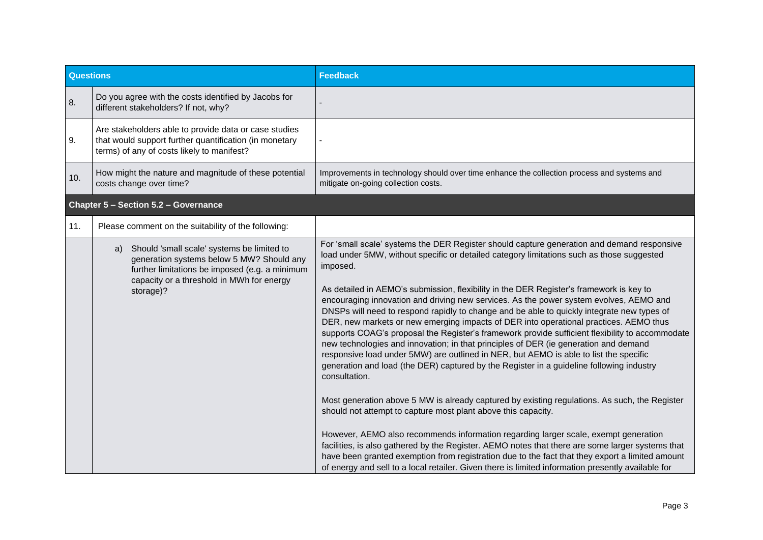| <b>Questions</b> |                                                                                                                                                                                                           | <b>Feedback</b>                                                                                                                                                                                                                                                                                                                                                                                                                                                                                                                                                                                                                                                                                                                                                                                                                                                                                                                                                                                                                                                                                                                                                                                                                                                                                                                                                                                                                                                                                                                                        |
|------------------|-----------------------------------------------------------------------------------------------------------------------------------------------------------------------------------------------------------|--------------------------------------------------------------------------------------------------------------------------------------------------------------------------------------------------------------------------------------------------------------------------------------------------------------------------------------------------------------------------------------------------------------------------------------------------------------------------------------------------------------------------------------------------------------------------------------------------------------------------------------------------------------------------------------------------------------------------------------------------------------------------------------------------------------------------------------------------------------------------------------------------------------------------------------------------------------------------------------------------------------------------------------------------------------------------------------------------------------------------------------------------------------------------------------------------------------------------------------------------------------------------------------------------------------------------------------------------------------------------------------------------------------------------------------------------------------------------------------------------------------------------------------------------------|
| 8.               | Do you agree with the costs identified by Jacobs for<br>different stakeholders? If not, why?                                                                                                              |                                                                                                                                                                                                                                                                                                                                                                                                                                                                                                                                                                                                                                                                                                                                                                                                                                                                                                                                                                                                                                                                                                                                                                                                                                                                                                                                                                                                                                                                                                                                                        |
| 9.               | Are stakeholders able to provide data or case studies<br>that would support further quantification (in monetary<br>terms) of any of costs likely to manifest?                                             |                                                                                                                                                                                                                                                                                                                                                                                                                                                                                                                                                                                                                                                                                                                                                                                                                                                                                                                                                                                                                                                                                                                                                                                                                                                                                                                                                                                                                                                                                                                                                        |
| 10.              | How might the nature and magnitude of these potential<br>costs change over time?                                                                                                                          | Improvements in technology should over time enhance the collection process and systems and<br>mitigate on-going collection costs.                                                                                                                                                                                                                                                                                                                                                                                                                                                                                                                                                                                                                                                                                                                                                                                                                                                                                                                                                                                                                                                                                                                                                                                                                                                                                                                                                                                                                      |
|                  | <b>Chapter 5 - Section 5.2 - Governance</b>                                                                                                                                                               |                                                                                                                                                                                                                                                                                                                                                                                                                                                                                                                                                                                                                                                                                                                                                                                                                                                                                                                                                                                                                                                                                                                                                                                                                                                                                                                                                                                                                                                                                                                                                        |
| 11.              | Please comment on the suitability of the following:                                                                                                                                                       |                                                                                                                                                                                                                                                                                                                                                                                                                                                                                                                                                                                                                                                                                                                                                                                                                                                                                                                                                                                                                                                                                                                                                                                                                                                                                                                                                                                                                                                                                                                                                        |
|                  | Should 'small scale' systems be limited to<br>a)<br>generation systems below 5 MW? Should any<br>further limitations be imposed (e.g. a minimum<br>capacity or a threshold in MWh for energy<br>storage)? | For 'small scale' systems the DER Register should capture generation and demand responsive<br>load under 5MW, without specific or detailed category limitations such as those suggested<br>imposed.<br>As detailed in AEMO's submission, flexibility in the DER Register's framework is key to<br>encouraging innovation and driving new services. As the power system evolves, AEMO and<br>DNSPs will need to respond rapidly to change and be able to quickly integrate new types of<br>DER, new markets or new emerging impacts of DER into operational practices. AEMO thus<br>supports COAG's proposal the Register's framework provide sufficient flexibility to accommodate<br>new technologies and innovation; in that principles of DER (ie generation and demand<br>responsive load under 5MW) are outlined in NER, but AEMO is able to list the specific<br>generation and load (the DER) captured by the Register in a guideline following industry<br>consultation.<br>Most generation above 5 MW is already captured by existing regulations. As such, the Register<br>should not attempt to capture most plant above this capacity.<br>However, AEMO also recommends information regarding larger scale, exempt generation<br>facilities, is also gathered by the Register. AEMO notes that there are some larger systems that<br>have been granted exemption from registration due to the fact that they export a limited amount<br>of energy and sell to a local retailer. Given there is limited information presently available for |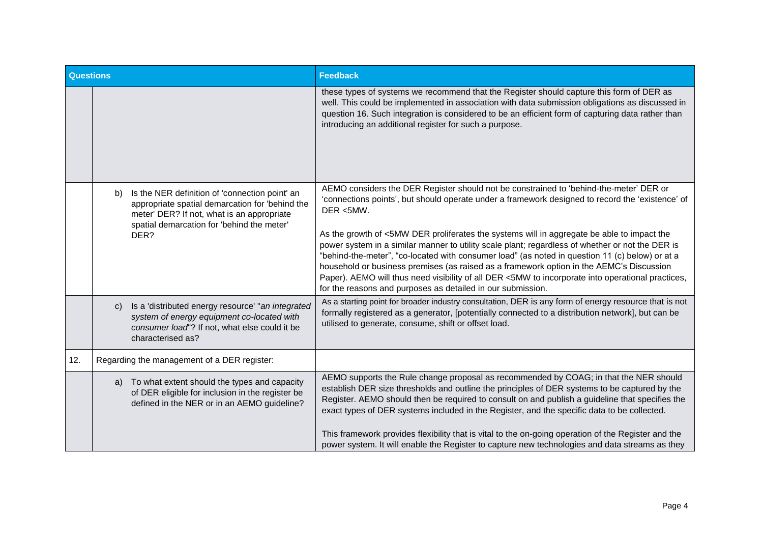| <b>Questions</b> |                                                                                                                                                                                                             | <b>Feedback</b>                                                                                                                                                                                                                                                                                                                                                                                                                                                                                                                                                                                                                                                                                                                                                              |
|------------------|-------------------------------------------------------------------------------------------------------------------------------------------------------------------------------------------------------------|------------------------------------------------------------------------------------------------------------------------------------------------------------------------------------------------------------------------------------------------------------------------------------------------------------------------------------------------------------------------------------------------------------------------------------------------------------------------------------------------------------------------------------------------------------------------------------------------------------------------------------------------------------------------------------------------------------------------------------------------------------------------------|
|                  |                                                                                                                                                                                                             | these types of systems we recommend that the Register should capture this form of DER as<br>well. This could be implemented in association with data submission obligations as discussed in<br>question 16. Such integration is considered to be an efficient form of capturing data rather than<br>introducing an additional register for such a purpose.                                                                                                                                                                                                                                                                                                                                                                                                                   |
|                  | Is the NER definition of 'connection point' an<br>b)<br>appropriate spatial demarcation for 'behind the<br>meter' DER? If not, what is an appropriate<br>spatial demarcation for 'behind the meter'<br>DER? | AEMO considers the DER Register should not be constrained to 'behind-the-meter' DER or<br>'connections points', but should operate under a framework designed to record the 'existence' of<br>DER <5MW.<br>As the growth of <5MW DER proliferates the systems will in aggregate be able to impact the<br>power system in a similar manner to utility scale plant; regardless of whether or not the DER is<br>"behind-the-meter", "co-located with consumer load" (as noted in question 11 (c) below) or at a<br>household or business premises (as raised as a framework option in the AEMC's Discussion<br>Paper). AEMO will thus need visibility of all DER <5MW to incorporate into operational practices,<br>for the reasons and purposes as detailed in our submission. |
|                  | Is a 'distributed energy resource' "an integrated<br>$\mathbf{C}$<br>system of energy equipment co-located with<br>consumer load"? If not, what else could it be<br>characterised as?                       | As a starting point for broader industry consultation, DER is any form of energy resource that is not<br>formally registered as a generator, [potentially connected to a distribution network], but can be<br>utilised to generate, consume, shift or offset load.                                                                                                                                                                                                                                                                                                                                                                                                                                                                                                           |
| 12.              | Regarding the management of a DER register:                                                                                                                                                                 |                                                                                                                                                                                                                                                                                                                                                                                                                                                                                                                                                                                                                                                                                                                                                                              |
|                  | a) To what extent should the types and capacity<br>of DER eligible for inclusion in the register be<br>defined in the NER or in an AEMO guideline?                                                          | AEMO supports the Rule change proposal as recommended by COAG; in that the NER should<br>establish DER size thresholds and outline the principles of DER systems to be captured by the<br>Register. AEMO should then be required to consult on and publish a guideline that specifies the<br>exact types of DER systems included in the Register, and the specific data to be collected.<br>This framework provides flexibility that is vital to the on-going operation of the Register and the                                                                                                                                                                                                                                                                              |
|                  |                                                                                                                                                                                                             | power system. It will enable the Register to capture new technologies and data streams as they                                                                                                                                                                                                                                                                                                                                                                                                                                                                                                                                                                                                                                                                               |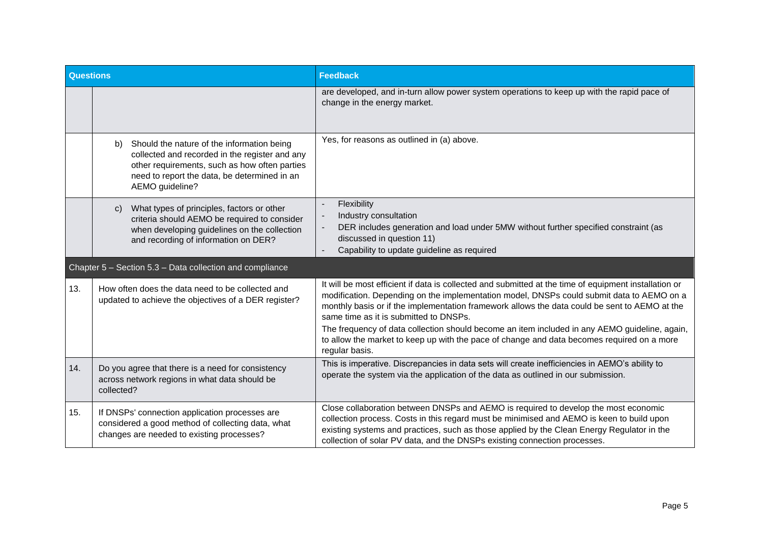| <b>Questions</b> |                                                                                                                                                                                                                        | <b>Feedback</b>                                                                                                                                                                                                                                                                                                                                                                                                                                                                                                                                                |  |
|------------------|------------------------------------------------------------------------------------------------------------------------------------------------------------------------------------------------------------------------|----------------------------------------------------------------------------------------------------------------------------------------------------------------------------------------------------------------------------------------------------------------------------------------------------------------------------------------------------------------------------------------------------------------------------------------------------------------------------------------------------------------------------------------------------------------|--|
|                  |                                                                                                                                                                                                                        | are developed, and in-turn allow power system operations to keep up with the rapid pace of<br>change in the energy market.                                                                                                                                                                                                                                                                                                                                                                                                                                     |  |
|                  | Should the nature of the information being<br>b)<br>collected and recorded in the register and any<br>other requirements, such as how often parties<br>need to report the data, be determined in an<br>AEMO guideline? | Yes, for reasons as outlined in (a) above.                                                                                                                                                                                                                                                                                                                                                                                                                                                                                                                     |  |
|                  | What types of principles, factors or other<br>C)<br>criteria should AEMO be required to consider<br>when developing guidelines on the collection<br>and recording of information on DER?                               | Flexibility<br>Industry consultation<br>$\overline{\phantom{a}}$<br>DER includes generation and load under 5MW without further specified constraint (as<br>$\blacksquare$<br>discussed in question 11)<br>Capability to update guideline as required<br>$\blacksquare$                                                                                                                                                                                                                                                                                         |  |
|                  | Chapter 5 - Section 5.3 - Data collection and compliance                                                                                                                                                               |                                                                                                                                                                                                                                                                                                                                                                                                                                                                                                                                                                |  |
| 13.              | How often does the data need to be collected and<br>updated to achieve the objectives of a DER register?                                                                                                               | It will be most efficient if data is collected and submitted at the time of equipment installation or<br>modification. Depending on the implementation model, DNSPs could submit data to AEMO on a<br>monthly basis or if the implementation framework allows the data could be sent to AEMO at the<br>same time as it is submitted to DNSPs.<br>The frequency of data collection should become an item included in any AEMO guideline, again,<br>to allow the market to keep up with the pace of change and data becomes required on a more<br>regular basis. |  |
| 14.              | Do you agree that there is a need for consistency<br>across network regions in what data should be<br>collected?                                                                                                       | This is imperative. Discrepancies in data sets will create inefficiencies in AEMO's ability to<br>operate the system via the application of the data as outlined in our submission.                                                                                                                                                                                                                                                                                                                                                                            |  |
| 15.              | If DNSPs' connection application processes are<br>considered a good method of collecting data, what<br>changes are needed to existing processes?                                                                       | Close collaboration between DNSPs and AEMO is required to develop the most economic<br>collection process. Costs in this regard must be minimised and AEMO is keen to build upon<br>existing systems and practices, such as those applied by the Clean Energy Regulator in the<br>collection of solar PV data, and the DNSPs existing connection processes.                                                                                                                                                                                                    |  |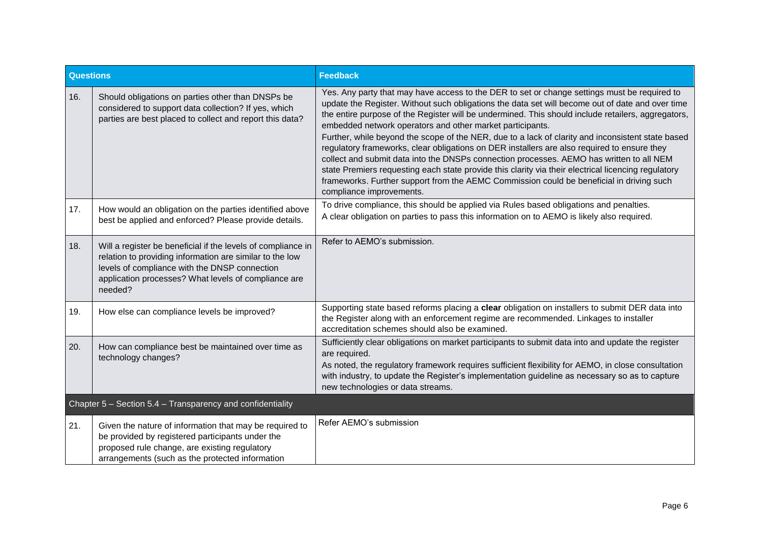| Questions                                                  |                                                                                                                                                                                                                                              | <b>Feedback</b>                                                                                                                                                                                                                                                                                                                                                                                                                                                                                                                                                                                                                                                                                                                                                                                                                                                                                    |
|------------------------------------------------------------|----------------------------------------------------------------------------------------------------------------------------------------------------------------------------------------------------------------------------------------------|----------------------------------------------------------------------------------------------------------------------------------------------------------------------------------------------------------------------------------------------------------------------------------------------------------------------------------------------------------------------------------------------------------------------------------------------------------------------------------------------------------------------------------------------------------------------------------------------------------------------------------------------------------------------------------------------------------------------------------------------------------------------------------------------------------------------------------------------------------------------------------------------------|
| 16.                                                        | Should obligations on parties other than DNSPs be<br>considered to support data collection? If yes, which<br>parties are best placed to collect and report this data?                                                                        | Yes. Any party that may have access to the DER to set or change settings must be required to<br>update the Register. Without such obligations the data set will become out of date and over time<br>the entire purpose of the Register will be undermined. This should include retailers, aggregators,<br>embedded network operators and other market participants.<br>Further, while beyond the scope of the NER, due to a lack of clarity and inconsistent state based<br>regulatory frameworks, clear obligations on DER installers are also required to ensure they<br>collect and submit data into the DNSPs connection processes. AEMO has written to all NEM<br>state Premiers requesting each state provide this clarity via their electrical licencing regulatory<br>frameworks. Further support from the AEMC Commission could be beneficial in driving such<br>compliance improvements. |
| 17.                                                        | How would an obligation on the parties identified above<br>best be applied and enforced? Please provide details.                                                                                                                             | To drive compliance, this should be applied via Rules based obligations and penalties.<br>A clear obligation on parties to pass this information on to AEMO is likely also required.                                                                                                                                                                                                                                                                                                                                                                                                                                                                                                                                                                                                                                                                                                               |
| 18.                                                        | Will a register be beneficial if the levels of compliance in<br>relation to providing information are similar to the low<br>levels of compliance with the DNSP connection<br>application processes? What levels of compliance are<br>needed? | Refer to AEMO's submission.                                                                                                                                                                                                                                                                                                                                                                                                                                                                                                                                                                                                                                                                                                                                                                                                                                                                        |
| 19.                                                        | How else can compliance levels be improved?                                                                                                                                                                                                  | Supporting state based reforms placing a clear obligation on installers to submit DER data into<br>the Register along with an enforcement regime are recommended. Linkages to installer<br>accreditation schemes should also be examined.                                                                                                                                                                                                                                                                                                                                                                                                                                                                                                                                                                                                                                                          |
| 20.                                                        | How can compliance best be maintained over time as<br>technology changes?                                                                                                                                                                    | Sufficiently clear obligations on market participants to submit data into and update the register<br>are required.<br>As noted, the regulatory framework requires sufficient flexibility for AEMO, in close consultation<br>with industry, to update the Register's implementation guideline as necessary so as to capture<br>new technologies or data streams.                                                                                                                                                                                                                                                                                                                                                                                                                                                                                                                                    |
| Chapter 5 - Section 5.4 - Transparency and confidentiality |                                                                                                                                                                                                                                              |                                                                                                                                                                                                                                                                                                                                                                                                                                                                                                                                                                                                                                                                                                                                                                                                                                                                                                    |
| 21.                                                        | Given the nature of information that may be required to<br>be provided by registered participants under the<br>proposed rule change, are existing regulatory<br>arrangements (such as the protected information                              | Refer AEMO's submission                                                                                                                                                                                                                                                                                                                                                                                                                                                                                                                                                                                                                                                                                                                                                                                                                                                                            |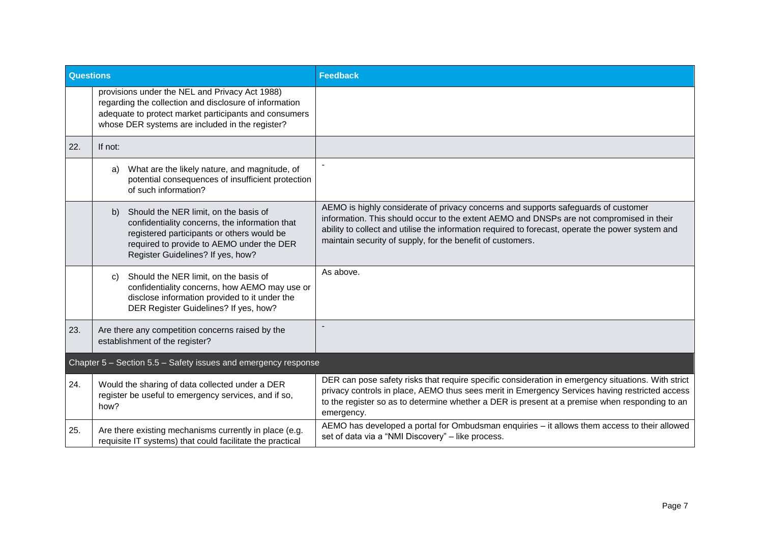| <b>Questions</b>                                               |                                                                                                                                                                                                                               | <b>Feedback</b>                                                                                                                                                                                                                                                                                                                                   |
|----------------------------------------------------------------|-------------------------------------------------------------------------------------------------------------------------------------------------------------------------------------------------------------------------------|---------------------------------------------------------------------------------------------------------------------------------------------------------------------------------------------------------------------------------------------------------------------------------------------------------------------------------------------------|
|                                                                | provisions under the NEL and Privacy Act 1988)<br>regarding the collection and disclosure of information<br>adequate to protect market participants and consumers<br>whose DER systems are included in the register?          |                                                                                                                                                                                                                                                                                                                                                   |
| 22.                                                            | If not:                                                                                                                                                                                                                       |                                                                                                                                                                                                                                                                                                                                                   |
|                                                                | What are the likely nature, and magnitude, of<br>a)<br>potential consequences of insufficient protection<br>of such information?                                                                                              |                                                                                                                                                                                                                                                                                                                                                   |
|                                                                | Should the NER limit, on the basis of<br>b)<br>confidentiality concerns, the information that<br>registered participants or others would be<br>required to provide to AEMO under the DER<br>Register Guidelines? If yes, how? | AEMO is highly considerate of privacy concerns and supports safeguards of customer<br>information. This should occur to the extent AEMO and DNSPs are not compromised in their<br>ability to collect and utilise the information required to forecast, operate the power system and<br>maintain security of supply, for the benefit of customers. |
|                                                                | Should the NER limit, on the basis of<br>C)<br>confidentiality concerns, how AEMO may use or<br>disclose information provided to it under the<br>DER Register Guidelines? If yes, how?                                        | As above.                                                                                                                                                                                                                                                                                                                                         |
| 23.                                                            | Are there any competition concerns raised by the<br>establishment of the register?                                                                                                                                            |                                                                                                                                                                                                                                                                                                                                                   |
| Chapter 5 - Section 5.5 - Safety issues and emergency response |                                                                                                                                                                                                                               |                                                                                                                                                                                                                                                                                                                                                   |
| 24.                                                            | Would the sharing of data collected under a DER<br>register be useful to emergency services, and if so,<br>how?                                                                                                               | DER can pose safety risks that require specific consideration in emergency situations. With strict<br>privacy controls in place, AEMO thus sees merit in Emergency Services having restricted access<br>to the register so as to determine whether a DER is present at a premise when responding to an<br>emergency.                              |
| 25.                                                            | Are there existing mechanisms currently in place (e.g.<br>requisite IT systems) that could facilitate the practical                                                                                                           | AEMO has developed a portal for Ombudsman enquiries - it allows them access to their allowed<br>set of data via a "NMI Discovery" - like process.                                                                                                                                                                                                 |